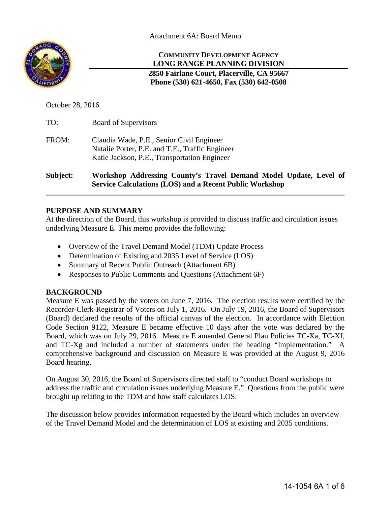Attachment 6A: Board Memo



**COMMUNITY DEVELOPMENT AGENCY LONG RANGE PLANNING DIVISION**

**2850 Fairlane Court, Placerville, CA 95667 Phone (530) 621-4650, Fax (530) 642-0508** 

October 28, 2016

| Subject: | Workshop Addressing County's Travel Demand Model Update, Level of<br><b>Service Calculations (LOS) and a Recent Public Workshop</b>          |  |  |  |
|----------|----------------------------------------------------------------------------------------------------------------------------------------------|--|--|--|
| FROM:    | Claudia Wade, P.E., Senior Civil Engineer<br>Natalie Porter, P.E. and T.E., Traffic Engineer<br>Katie Jackson, P.E., Transportation Engineer |  |  |  |
| TO:      | <b>Board of Supervisors</b>                                                                                                                  |  |  |  |

## **PURPOSE AND SUMMARY**

At the direction of the Board, this workshop is provided to discuss traffic and circulation issues underlying Measure E. This memo provides the following:

- Overview of the Travel Demand Model (TDM) Update Process
- Determination of Existing and 2035 Level of Service (LOS)
- Summary of Recent Public Outreach (Attachment 6B)
- Responses to Public Comments and Ouestions (Attachment 6F)

# **BACKGROUND**

Measure E was passed by the voters on June 7, 2016. The election results were certified by the Recorder-Clerk-Registrar of Voters on July 1, 2016. On July 19, 2016, the Board of Supervisors (Board) declared the results of the official canvas of the election. In accordance with Election Code Section 9122, Measure E became effective 10 days after the vote was declared by the Board, which was on July 29, 2016. Measure E amended General Plan Policies TC-Xa, TC-Xf, and TC-Xg and included a number of statements under the heading "Implementation." A comprehensive background and discussion on Measure E was provided at the August 9, 2016 Board hearing.

On August 30, 2016, the Board of Supervisors directed staff to "conduct Board workshops to address the traffic and circulation issues underlying Measure E." Questions from the public were brought up relating to the TDM and how staff calculates LOS.

The discussion below provides information requested by the Board which includes an overview of the Travel Demand Model and the determination of LOS at existing and 2035 conditions.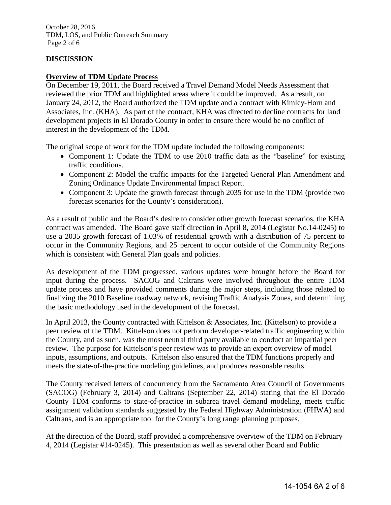October 28, 2016 TDM, LOS, and Public Outreach Summary Page 2 of 6

## **DISCUSSION**

## **Overview of TDM Update Process**

On December 19, 2011, the Board received a Travel Demand Model Needs Assessment that reviewed the prior TDM and highlighted areas where it could be improved. As a result, on January 24, 2012, the Board authorized the TDM update and a contract with Kimley-Horn and Associates, Inc. (KHA). As part of the contract, KHA was directed to decline contracts for land development projects in El Dorado County in order to ensure there would be no conflict of interest in the development of the TDM.

The original scope of work for the TDM update included the following components:

- Component 1: Update the TDM to use 2010 traffic data as the "baseline" for existing traffic conditions.
- Component 2: Model the traffic impacts for the Targeted General Plan Amendment and Zoning Ordinance Update Environmental Impact Report.
- Component 3: Update the growth forecast through 2035 for use in the TDM (provide two forecast scenarios for the County's consideration).

As a result of public and the Board's desire to consider other growth forecast scenarios, the KHA contract was amended. The Board gave staff direction in April 8, 2014 (Legistar No.14-0245) to use a 2035 growth forecast of 1.03% of residential growth with a distribution of 75 percent to occur in the Community Regions, and 25 percent to occur outside of the Community Regions which is consistent with General Plan goals and policies.

As development of the TDM progressed, various updates were brought before the Board for input during the process. SACOG and Caltrans were involved throughout the entire TDM update process and have provided comments during the major steps, including those related to finalizing the 2010 Baseline roadway network, revising Traffic Analysis Zones, and determining the basic methodology used in the development of the forecast.

In April 2013, the County contracted with Kittelson & Associates, Inc. (Kittelson) to provide a peer review of the TDM. Kittelson does not perform developer-related traffic engineering within the County, and as such, was the most neutral third party available to conduct an impartial peer review. The purpose for Kittelson's peer review was to provide an expert overview of model inputs, assumptions, and outputs. Kittelson also ensured that the TDM functions properly and meets the state-of-the-practice modeling guidelines, and produces reasonable results.

The County received letters of concurrency from the Sacramento Area Council of Governments (SACOG) (February 3, 2014) and Caltrans (September 22, 2014) stating that the El Dorado County TDM conforms to state-of-practice in subarea travel demand modeling, meets traffic assignment validation standards suggested by the Federal Highway Administration (FHWA) and Caltrans, and is an appropriate tool for the County's long range planning purposes.

At the direction of the Board, staff provided a comprehensive overview of the TDM on February 4, 2014 (Legistar #14-0245). This presentation as well as several other Board and Public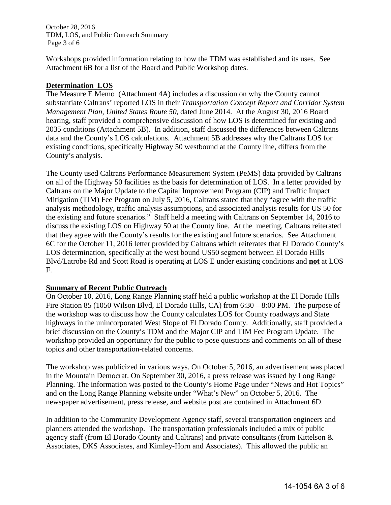October 28, 2016 TDM, LOS, and Public Outreach Summary Page 3 of 6

Workshops provided information relating to how the TDM was established and its uses. See Attachment 6B for a list of the Board and Public Workshop dates.

## **Determination LOS**

The Measure E Memo (Attachment 4A) includes a discussion on why the County cannot substantiate Caltrans' reported LOS in their *Transportation Concept Report and Corridor System Management Plan, United States Route 50*, dated June 2014. At the August 30, 2016 Board hearing, staff provided a comprehensive discussion of how LOS is determined for existing and 2035 conditions (Attachment 5B). In addition, staff discussed the differences between Caltrans data and the County's LOS calculations. Attachment 5B addresses why the Caltrans LOS for existing conditions, specifically Highway 50 westbound at the County line, differs from the County's analysis.

The County used Caltrans Performance Measurement System (PeMS) data provided by Caltrans on all of the Highway 50 facilities as the basis for determination of LOS. In a letter provided by Caltrans on the Major Update to the Capital Improvement Program (CIP) and Traffic Impact Mitigation (TIM) Fee Program on July 5, 2016, Caltrans stated that they "agree with the traffic analysis methodology, traffic analysis assumptions, and associated analysis results for US 50 for the existing and future scenarios." Staff held a meeting with Caltrans on September 14, 2016 to discuss the existing LOS on Highway 50 at the County line. At the meeting, Caltrans reiterated that they agree with the County's results for the existing and future scenarios. See Attachment 6C for the October 11, 2016 letter provided by Caltrans which reiterates that El Dorado County's LOS determination, specifically at the west bound US50 segment between El Dorado Hills Blvd/Latrobe Rd and Scott Road is operating at LOS E under existing conditions and **not** at LOS F.

#### **Summary of Recent Public Outreach**

On October 10, 2016, Long Range Planning staff held a public workshop at the El Dorado Hills Fire Station 85 (1050 Wilson Blvd, El Dorado Hills, CA) from 6:30 – 8:00 PM. The purpose of the workshop was to discuss how the County calculates LOS for County roadways and State highways in the unincorporated West Slope of El Dorado County. Additionally, staff provided a brief discussion on the County's TDM and the Major CIP and TIM Fee Program Update. The workshop provided an opportunity for the public to pose questions and comments on all of these topics and other transportation-related concerns.

The workshop was publicized in various ways. On October 5, 2016, an advertisement was placed in the Mountain Democrat. On September 30, 2016, a press release was issued by Long Range Planning. The information was posted to the County's Home Page under "News and Hot Topics" and on the Long Range Planning website under "What's New" on October 5, 2016. The newspaper advertisement, press release, and website post are contained in Attachment 6D.

In addition to the Community Development Agency staff, several transportation engineers and planners attended the workshop. The transportation professionals included a mix of public agency staff (from El Dorado County and Caltrans) and private consultants (from Kittelson & Associates, DKS Associates, and Kimley-Horn and Associates). This allowed the public an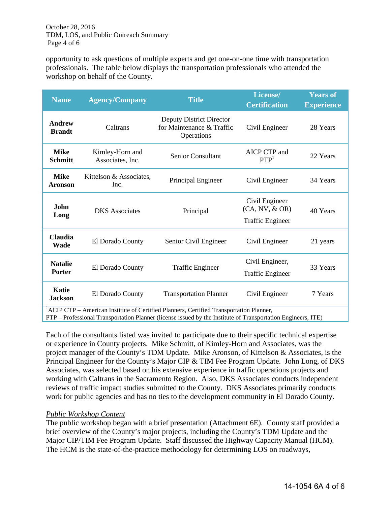October 28, 2016 TDM, LOS, and Public Outreach Summary Page 4 of 6

opportunity to ask questions of multiple experts and get one-on-one time with transportation professionals. The table below displays the transportation professionals who attended the workshop on behalf of the County.

| <b>Name</b>                                                                                                                                                                                                         | <b>Agency/Company</b>               | <b>Title</b>                                                               | License/<br><b>Certification</b>                            | <b>Years of</b><br><b>Experience</b> |  |
|---------------------------------------------------------------------------------------------------------------------------------------------------------------------------------------------------------------------|-------------------------------------|----------------------------------------------------------------------------|-------------------------------------------------------------|--------------------------------------|--|
| <b>Andrew</b><br><b>Brandt</b>                                                                                                                                                                                      | Caltrans                            | <b>Deputy District Director</b><br>for Maintenance & Traffic<br>Operations | Civil Engineer                                              | 28 Years                             |  |
| <b>Mike</b><br><b>Schmitt</b>                                                                                                                                                                                       | Kimley-Horn and<br>Associates, Inc. | <b>Senior Consultant</b>                                                   | AICP CTP and<br>PTP <sup>1</sup>                            | 22 Years                             |  |
| <b>Mike</b><br><b>Aronson</b>                                                                                                                                                                                       | Kittelson & Associates,<br>Inc.     | Principal Engineer                                                         | Civil Engineer                                              | 34 Years                             |  |
| John<br>Long                                                                                                                                                                                                        | <b>DKS</b> Associates               | Principal                                                                  | Civil Engineer<br>(CA, NV, & OR)<br><b>Traffic Engineer</b> | 40 Years                             |  |
| <b>Claudia</b><br>Wade                                                                                                                                                                                              | El Dorado County                    | Senior Civil Engineer                                                      | Civil Engineer                                              | 21 years                             |  |
| <b>Natalie</b><br>Porter                                                                                                                                                                                            | El Dorado County                    | <b>Traffic Engineer</b>                                                    | Civil Engineer,<br><b>Traffic Engineer</b>                  | 33 Years                             |  |
| <b>Katie</b><br><b>Jackson</b>                                                                                                                                                                                      | El Dorado County                    | <b>Transportation Planner</b>                                              | Civil Engineer                                              | 7 Years                              |  |
| <sup>1</sup> ACIP CTP – American Institute of Certified Planners, Certified Transportation Planner,<br>PTP – Professional Transportation Planner (license issued by the Institute of Transportation Engineers, ITE) |                                     |                                                                            |                                                             |                                      |  |

Each of the consultants listed was invited to participate due to their specific technical expertise or experience in County projects. Mike Schmitt, of Kimley-Horn and Associates, was the project manager of the County's TDM Update. Mike Aronson, of Kittelson & Associates, is the Principal Engineer for the County's Major CIP & TIM Fee Program Update. John Long, of DKS Associates, was selected based on his extensive experience in traffic operations projects and working with Caltrans in the Sacramento Region. Also, DKS Associates conducts independent reviews of traffic impact studies submitted to the County. DKS Associates primarily conducts work for public agencies and has no ties to the development community in El Dorado County.

#### *Public Workshop Content*

The public workshop began with a brief presentation (Attachment 6E). County staff provided a brief overview of the County's major projects, including the County's TDM Update and the Major CIP/TIM Fee Program Update. Staff discussed the Highway Capacity Manual (HCM). The HCM is the state-of-the-practice methodology for determining LOS on roadways,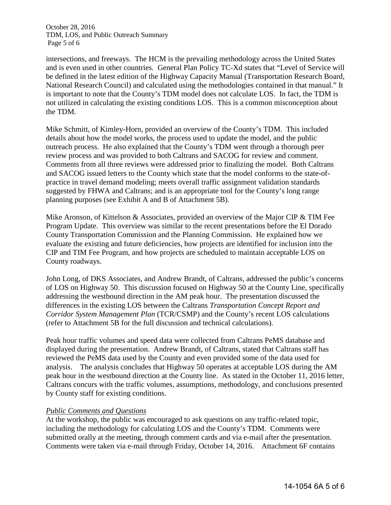October 28, 2016 TDM, LOS, and Public Outreach Summary Page 5 of 6

intersections, and freeways. The HCM is the prevailing methodology across the United States and is even used in other countries. General Plan Policy TC-Xd states that "Level of Service will be defined in the latest edition of the Highway Capacity Manual (Transportation Research Board, National Research Council) and calculated using the methodologies contained in that manual." It is important to note that the County's TDM model does not calculate LOS. In fact, the TDM is not utilized in calculating the existing conditions LOS. This is a common misconception about the TDM.

Mike Schmitt, of Kimley-Horn, provided an overview of the County's TDM. This included details about how the model works, the process used to update the model, and the public outreach process. He also explained that the County's TDM went through a thorough peer review process and was provided to both Caltrans and SACOG for review and comment. Comments from all three reviews were addressed prior to finalizing the model. Both Caltrans and SACOG issued letters to the County which state that the model conforms to the state-ofpractice in travel demand modeling; meets overall traffic assignment validation standards suggested by FHWA and Caltrans; and is an appropriate tool for the County's long range planning purposes (see Exhibit A and B of Attachment 5B).

Mike Aronson, of Kittelson & Associates, provided an overview of the Major CIP & TIM Fee Program Update. This overview was similar to the recent presentations before the El Dorado County Transportation Commission and the Planning Commission. He explained how we evaluate the existing and future deficiencies, how projects are identified for inclusion into the CIP and TIM Fee Program, and how projects are scheduled to maintain acceptable LOS on County roadways.

John Long, of DKS Associates, and Andrew Brandt, of Caltrans, addressed the public's concerns of LOS on Highway 50. This discussion focused on Highway 50 at the County Line, specifically addressing the westbound direction in the AM peak hour. The presentation discussed the differences in the existing LOS between the Caltrans *Transportation Concept Report and Corridor System Management Plan* (TCR/CSMP) and the County's recent LOS calculations (refer to Attachment 5B for the full discussion and technical calculations).

Peak hour traffic volumes and speed data were collected from Caltrans PeMS database and displayed during the presentation. Andrew Brandt, of Caltrans, stated that Caltrans staff has reviewed the PeMS data used by the County and even provided some of the data used for analysis. The analysis concludes that Highway 50 operates at acceptable LOS during the AM peak hour in the westbound direction at the County line. As stated in the October 11, 2016 letter, Caltrans concurs with the traffic volumes, assumptions, methodology, and conclusions presented by County staff for existing conditions.

#### *Public Comments and Questions*

At the workshop, the public was encouraged to ask questions on any traffic-related topic, including the methodology for calculating LOS and the County's TDM. Comments were submitted orally at the meeting, through comment cards and via e-mail after the presentation. Comments were taken via e-mail through Friday, October 14, 2016. Attachment 6F contains